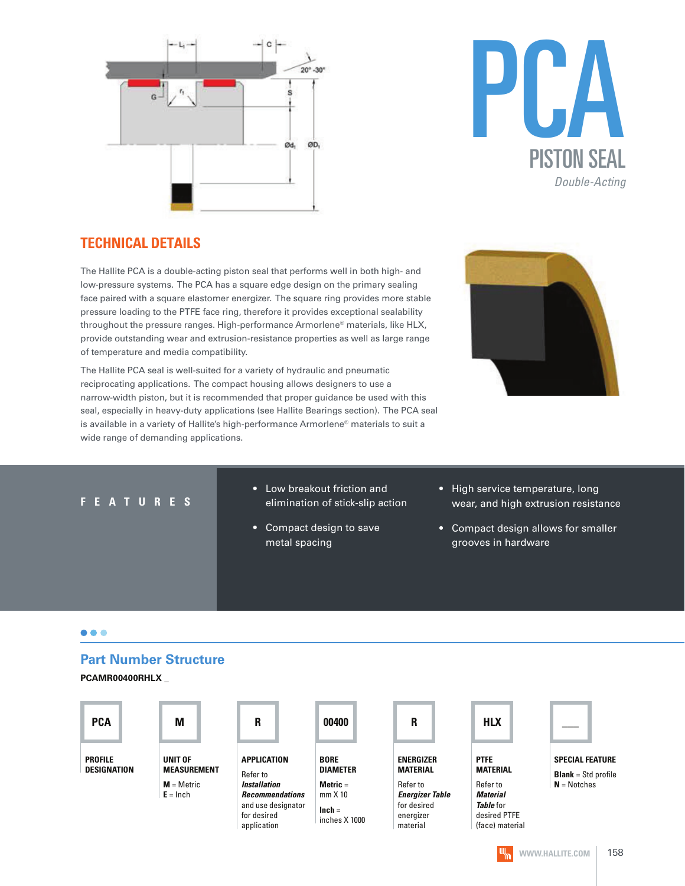



#### **TECHNICAL DETAILS**

The Hallite PCA is a double-acting piston seal that performs well in both high- and low-pressure systems. The PCA has a square edge design on the primary sealing face paired with a square elastomer energizer. The square ring provides more stable pressure loading to the PTFE face ring, therefore it provides exceptional sealability throughout the pressure ranges. High-performance Armorlene® materials, like HLX, provide outstanding wear and extrusion-resistance properties as well as large range of temperature and media compatibility.

The Hallite PCA seal is well-suited for a variety of hydraulic and pneumatic reciprocating applications. The compact housing allows designers to use a narrow-width piston, but it is recommended that proper guidance be used with this seal, especially in heavy-duty applications (see Hallite Bearings section). The PCA seal is available in a variety of Hallite's high-performance Armorlene® materials to suit a wide range of demanding applications.



#### **F E A T U R E S**

- Low breakout friction and elimination of stick-slip action
- Compact design to save metal spacing
- High service temperature, long wear, and high extrusion resistance
- Compact design allows for smaller grooves in hardware

#### $\bullet\bullet\bullet$

#### **Part Number Structure**

**PCAMR00400RHLX \_**

| <b>PCA</b>                    | М                             | R                                            | 00400                          | R                                     | <b>HLX</b>                      |                                                        |
|-------------------------------|-------------------------------|----------------------------------------------|--------------------------------|---------------------------------------|---------------------------------|--------------------------------------------------------|
| <b>PROFILE</b><br>DESIGNATION | UNIT OF<br><b>MEASUREMENT</b> | APPLICATION<br>Refer to                      | <b>BORE</b><br><b>DIAMETER</b> | <b>ENERGIZER</b><br><b>MATERIAL</b>   | <b>PTFE</b><br><b>MATERIAL</b>  | <b>SPECIAL FEATURE</b><br><b>Blank</b> = $Std$ profile |
|                               | $M =$ Metric                  | <b>Installation</b>                          | Metric $=$                     | Refer to                              | Refer to                        | $N = Notches$                                          |
|                               | $E = Inch$                    | <b>Recommendations</b><br>and use designator | $mm \times 10$                 | <b>Energizer Table</b><br>for desired | <b>Material</b><br>Table for    |                                                        |
|                               |                               | for desired<br>application                   | $lnch =$<br>inches X 1000      | energizer<br>material                 | desired PTFE<br>(face) material |                                                        |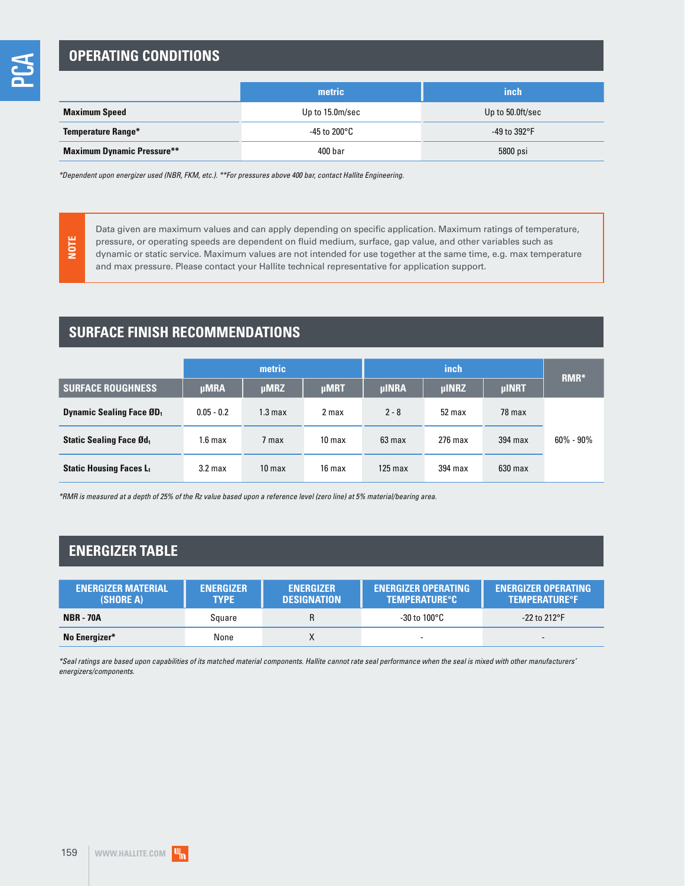## **OPERATING CONDITIONS**

|                                   | metric          | inch                   |
|-----------------------------------|-----------------|------------------------|
| <b>Maximum Speed</b>              | Up to 15.0m/sec | Up to 50.0ft/sec       |
| <b>Temperature Range*</b>         | -45 to 200°C    | -49 to 392 $\degree$ F |
| <b>Maximum Dynamic Pressure**</b> | 400 bar         | 5800 psi               |

\*Dependent upon energizer used (NBR, FKM, etc.). \*\*For pressures above 400 bar, contact Hallite Engineering.

**NOTE**

Data given are maximum values and can apply depending on specific application. Maximum ratings of temperature, pressure, or operating speeds are dependent on fluid medium, surface, gap value, and other variables such as dynamic or static service. Maximum values are not intended for use together at the same time, e.g. max temperature and max pressure. Please contact your Hallite technical representative for application support.

## **SURFACE FINISH RECOMMENDATIONS**

|                                             | metric             |                    |                   |              | RMR*         |              |               |
|---------------------------------------------|--------------------|--------------------|-------------------|--------------|--------------|--------------|---------------|
| <b>SURFACE ROUGHNESS</b>                    | <b>µMRA</b>        | <b>µMRZ</b>        | <b>µMRT</b>       | <b>µINRA</b> | <b>µINRZ</b> | <b>µINRT</b> |               |
| <b>Dynamic Sealing Face ØD</b> <sub>1</sub> | $0.05 - 0.2$       | 1.3 <sub>max</sub> | 2 max             | $2 - 8$      | 52 max       | 78 max       |               |
| <b>Static Sealing Face Ød</b>               | 1.6 <sub>max</sub> | 7 max              | 10 <sub>max</sub> | 63 max       | $276$ max    | 394 max      | $60\% - 90\%$ |
| <b>Static Housing Faces L1</b>              | 3.2 <sub>max</sub> | 10 <sub>max</sub>  | 16 max            | $125$ max    | 394 max      | $630$ max    |               |

\*RMR is measured at a depth of 25% of the Rz value based upon a reference level (zero line) at 5% material/bearing area.

## **ENERGIZER TABLE**

| <b>ENERGIZER MATERIAL</b><br>(SHORE A) | <b>ENERGIZER</b><br><b>TYPE</b> | <b>ENERGIZER</b><br><b>DESIGNATION</b> | <b>ENERGIZER OPERATING</b><br><b>TEMPERATURE°C</b> | <b>ENERGIZER OPERATING</b><br><b>TEMPERATURE<sup>o</sup>F</b> |
|----------------------------------------|---------------------------------|----------------------------------------|----------------------------------------------------|---------------------------------------------------------------|
| <b>NBR - 70A</b>                       | Sauare                          |                                        | -30 to 100°C                                       | $-22$ to 212°F                                                |
| No Energizer*                          | None                            |                                        |                                                    |                                                               |

\*Seal ratings are based upon capabilities of its matched material components. Hallite cannot rate seal performance when the seal is mixed with other manufacturers' energizers/components.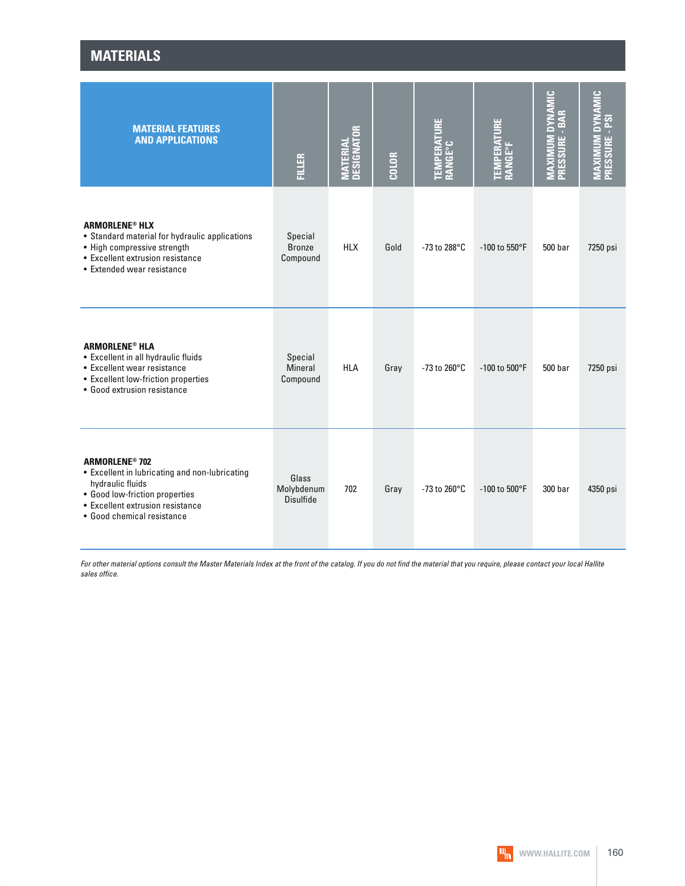| <b>MATERIALS</b>                                                                                                                                                                                           |                                         |                                |              |                                |                                |                                                                           |                |  |  |
|------------------------------------------------------------------------------------------------------------------------------------------------------------------------------------------------------------|-----------------------------------------|--------------------------------|--------------|--------------------------------|--------------------------------|---------------------------------------------------------------------------|----------------|--|--|
| <b>MATERIAL FEATURES</b><br><b>AND APPLICATIONS</b>                                                                                                                                                        | <b>FILLER</b>                           | <b>MATERIAL<br/>DESIGNATOR</b> | <b>COLOR</b> | <b>TEMPERATURE<br/>RANGE°C</b> | <b>TEMPERATURE<br/>RANGE°F</b> | $\frac{c}{\overline{z}}$<br><b>PANA</b><br>PRESSURE - BAR<br><b>MAXII</b> | PRESSURE - PSI |  |  |
| <b>ARMORLENE<sup>®</sup> HLX</b><br>• Standard material for hydraulic applications<br>• High compressive strength<br>• Excellent extrusion resistance<br>• Extended wear resistance                        | Special<br><b>Bronze</b><br>Compound    | <b>HLX</b>                     | Gold         | -73 to 288°C                   | -100 to 550°F                  | 500 <sub>bar</sub>                                                        | 7250 psi       |  |  |
| <b>ARMORLENE<sup>®</sup> HLA</b><br>• Excellent in all hydraulic fluids<br>• Excellent wear resistance<br>• Excellent low-friction properties<br>• Good extrusion resistance                               | Special<br><b>Mineral</b><br>Compound   | <b>HLA</b>                     | Gray         | $-73$ to 260 $^{\circ}$ C      | $-100$ to $500^{\circ}$ F      | 500 bar                                                                   | 7250 psi       |  |  |
| <b>ARMORLENE<sup>®</sup> 702</b><br>• Excellent in lubricating and non-lubricating<br>hydraulic fluids<br>• Good low-friction properties<br>• Excellent extrusion resistance<br>• Good chemical resistance | Glass<br>Molybdenum<br><b>Disulfide</b> | 702                            | Gray         | -73 to 260°C                   | -100 to 500°F                  | 300 bar                                                                   | 4350 psi       |  |  |

For other material options consult the Master Materials Index at the front of the catalog. If you do not find the material that you require, please contact your local Hallite sales office.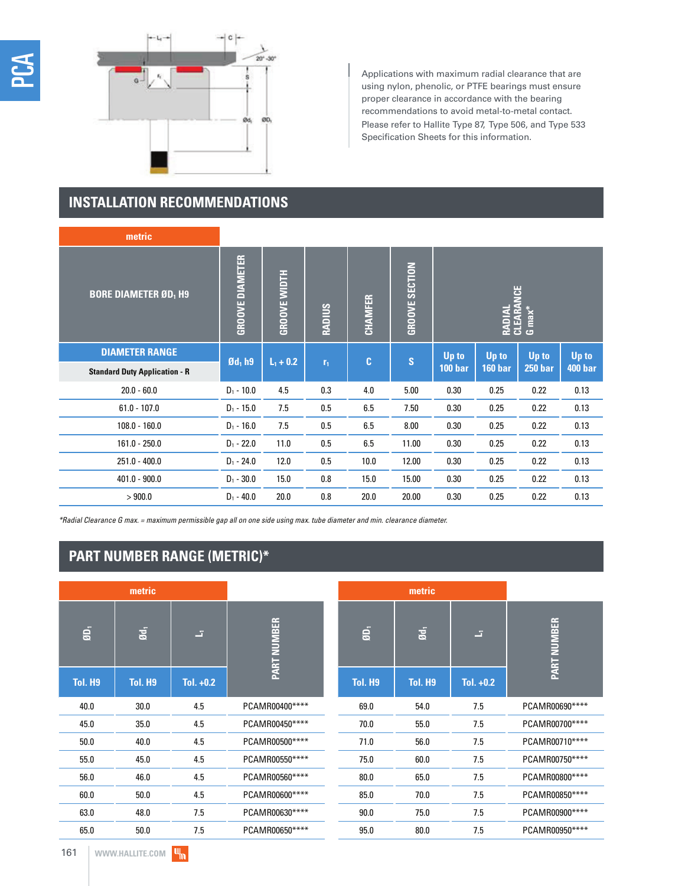

Applications with maximum radial clearance that are using nylon, phenolic, or PTFE bearings must ensure proper clearance in accordance with the bearing recommendations to avoid metal-to-metal contact. Please refer to Hallite Type 87, Type 506, and Type 533 Specification Sheets for this information.

## **INSTALLATION RECOMMENDATIONS**

| metric                               |                        |                     |                               |              |                       |                               |                |                |                |
|--------------------------------------|------------------------|---------------------|-------------------------------|--------------|-----------------------|-------------------------------|----------------|----------------|----------------|
| <b>BORE DIAMETER ØD, H9</b>          | <b>GROOVE DIAMETER</b> | <b>GROOVE WIDTH</b> | <b>RADIUS</b>                 | CHAMFER      | <b>GROOVE SECTION</b> | RADIAL<br>CLEARANCE<br>G max* |                |                |                |
| <b>DIAMETER RANGE</b>                | $\mathfrak{gd}_1$ h9   |                     | $L_1 + 0.2$<br>r <sub>1</sub> | $\mathbf{C}$ | $\mathbf{s}$          | <b>Up to</b>                  | Up to          | Up to          | Up to          |
| <b>Standard Duty Application - R</b> |                        |                     |                               |              |                       | 100 bar                       | <b>160 bar</b> | <b>250 bar</b> | <b>400 bar</b> |
| $20.0 - 60.0$                        | $D_1 - 10.0$           | 4.5                 | 0.3                           | 4.0          | 5.00                  | 0.30                          | 0.25           | 0.22           | 0.13           |
| $61.0 - 107.0$                       | $D_1 - 15.0$           | 7.5                 | 0.5                           | 6.5          | 7.50                  | 0.30                          | 0.25           | 0.22           | 0.13           |
| $108.0 - 160.0$                      | $D_1 - 16.0$           | 7.5                 | 0.5                           | 6.5          | 8.00                  | 0.30                          | 0.25           | 0.22           | 0.13           |
| $161.0 - 250.0$                      | $D_1 - 22.0$           | 11.0                | 0.5                           | 6.5          | 11.00                 | 0.30                          | 0.25           | 0.22           | 0.13           |
| $251.0 - 400.0$                      | $D_1 - 24.0$           | 12.0                | 0.5                           | 10.0         | 12.00                 | 0.30                          | 0.25           | 0.22           | 0.13           |
| $401.0 - 900.0$                      | $D_1 - 30.0$           | 15.0                | 0.8                           | 15.0         | 15.00                 | 0.30                          | 0.25           | 0.22           | 0.13           |
| >900.0                               | $D_1 - 40.0$           | 20.0                | 0.8                           | 20.0         | 20.00                 | 0.30                          | 0.25           | 0.22           | 0.13           |

\*Radial Clearance G max. = maximum permissible gap all on one side using max. tube diameter and min. clearance diameter.

# **PART NUMBER RANGE (METRIC)\***

|                     | metric         |             |                |
|---------------------|----------------|-------------|----------------|
| $\tilde{a}$         | $\overline{a}$ | 互           | PART NUMBER    |
| Tol. H <sub>9</sub> | Tol. H9        | Tol. $+0.2$ |                |
| 40.0                | 30.0           | 4.5         | PCAMR00400**** |
| 45.0                | 35.0           | 4.5         | PCAMR00450**** |
| 50.0                | 40.0           | 4.5         | PCAMR00500**** |
| 55.0                | 45.0           | 4.5         | PCAMR00550**** |
| 56.0                | 46.0           | 4.5         | PCAMR00560**** |
| 60.0                | 50.0           | 4.5         | PCAMR00600**** |
| 63.0                | 48.0           | 7.5         | PCAMR00630**** |
| 65.0                | 50.0           | 7.5         | PCAMR00650**** |

|                | metric         |             |                    |
|----------------|----------------|-------------|--------------------|
| é,             | $\overline{a}$ | z,          | <b>PART NUMBER</b> |
| <b>Tol. H9</b> | Tol. H9        | Tol. $+0.2$ |                    |
| 69.0           | 54.0           | 7.5         | PCAMR00690****     |
| 70.0           | 55.0           | 7.5         | PCAMR00700****     |
| 71.0           | 56.0           | 7.5         | PCAMR00710****     |
| 75.0           | 60.0           | 7.5         | PCAMR00750****     |
| 80.0           | 65.0           | 7.5         | PCAMR00800****     |
| 85.0           | 70.0           | 7.5         | PCAMR00850****     |
| 90.0           | 75.0           | 7.5         | PCAMR00900****     |
| 95.0           | 80.0           | 7.5         | PCAMR00950****     |